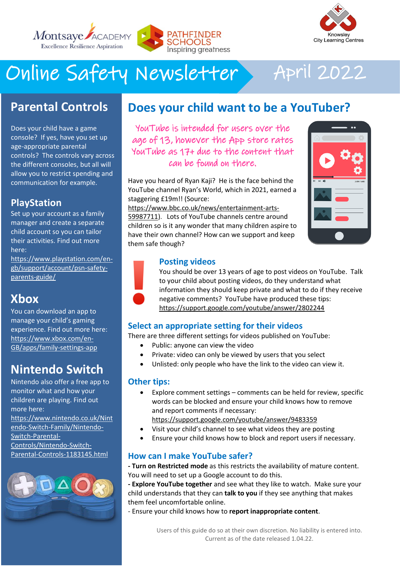



# Online Safety Newsletter April 2022

# **Parental Controls**

Does your child have a game console? If yes, have you set up age-appropriate parental controls? The controls vary across the different consoles, but all will allow you to restrict spending and communication for example.

### **PlayStation**

Set up your account as a family manager and create a separate child account so you can tailor their activities. Find out more here:

[https://www.playstation.com/en](https://www.playstation.com/en-gb/support/account/psn-safety-parents-guide/)[gb/support/account/psn-safety](https://www.playstation.com/en-gb/support/account/psn-safety-parents-guide/)[parents-guide/](https://www.playstation.com/en-gb/support/account/psn-safety-parents-guide/)

# **Xbox**

You can download an app to manage your child's gaming experience. Find out more here: [https://www.xbox.com/en-](https://www.xbox.com/en-GB/apps/family-settings-app)[GB/apps/family-settings-app](https://www.xbox.com/en-GB/apps/family-settings-app)

# **Nintendo Switch**

Nintendo also offer a free app to monitor what and how your children are playing. Find out more here: [https://www.nintendo.co.uk/Nint](https://www.nintendo.co.uk/Nintendo-Switch-Family/Nintendo-Switch-Parental-Controls/Nintendo-Switch-Parental-Controls-1183145.html) [endo-Switch-Family/Nintendo-](https://www.nintendo.co.uk/Nintendo-Switch-Family/Nintendo-Switch-Parental-Controls/Nintendo-Switch-Parental-Controls-1183145.html)[Switch-Parental-](https://www.nintendo.co.uk/Nintendo-Switch-Family/Nintendo-Switch-Parental-Controls/Nintendo-Switch-Parental-Controls-1183145.html)

[Controls/Nintendo-Switch-](https://www.nintendo.co.uk/Nintendo-Switch-Family/Nintendo-Switch-Parental-Controls/Nintendo-Switch-Parental-Controls-1183145.html)[Parental-Controls-1183145.html](https://www.nintendo.co.uk/Nintendo-Switch-Family/Nintendo-Switch-Parental-Controls/Nintendo-Switch-Parental-Controls-1183145.html)



## **Does your child want to be a YouTuber?**

YouTube is intended for users over the age of 13, however the App store rates YouTube as 17+ due to the content that can be found on there.

Have you heard of Ryan Kaji? He is the face behind the YouTube channel Ryan's World, which in 2021, earned a staggering £19m!! (Source:

[https://www.bbc.co.uk/news/entertainment-arts-](https://www.bbc.co.uk/news/entertainment-arts-59987711)[59987711\)](https://www.bbc.co.uk/news/entertainment-arts-59987711). Lots of YouTube channels centre around children so is it any wonder that many children aspire to have their own channel? How can we support and keep them safe though?



#### **Posting videos**

You should be over 13 years of age to post videos on YouTube. Talk to your child about posting videos, do they understand what information they should keep private and what to do if they receive negative comments? YouTube have produced these tips: <https://support.google.com/youtube/answer/2802244>

### **Select an appropriate setting for their videos**

There are three different settings for videos published on YouTube:

- Public: anyone can view the video
- Private: video can only be viewed by users that you select
- Unlisted: only people who have the link to the video can view it.

#### **Other tips:**

• Explore comment settings – comments can be held for review, specific words can be blocked and ensure your child knows how to remove and report comments if necessary:

[https://support.google.com/youtube/answer/9483359](https://support.google.com/youtube/answer/9483359?visit_id=637840707755351335-681766730&rd=1)

- Visit your child's channel to see what videos they are posting
- Ensure your child knows how to block and report users if necessary.

### **How can I make YouTube safer?**

**- Turn on Restricted mode** as this restricts the availability of mature content. You will need to set up a Google account to do this.

**- Explore YouTube together** and see what they like to watch. Make sure your child understands that they can **talk to you** if they see anything that makes them feel uncomfortable online.

- Ensure your child knows how to **report inappropriate content**.